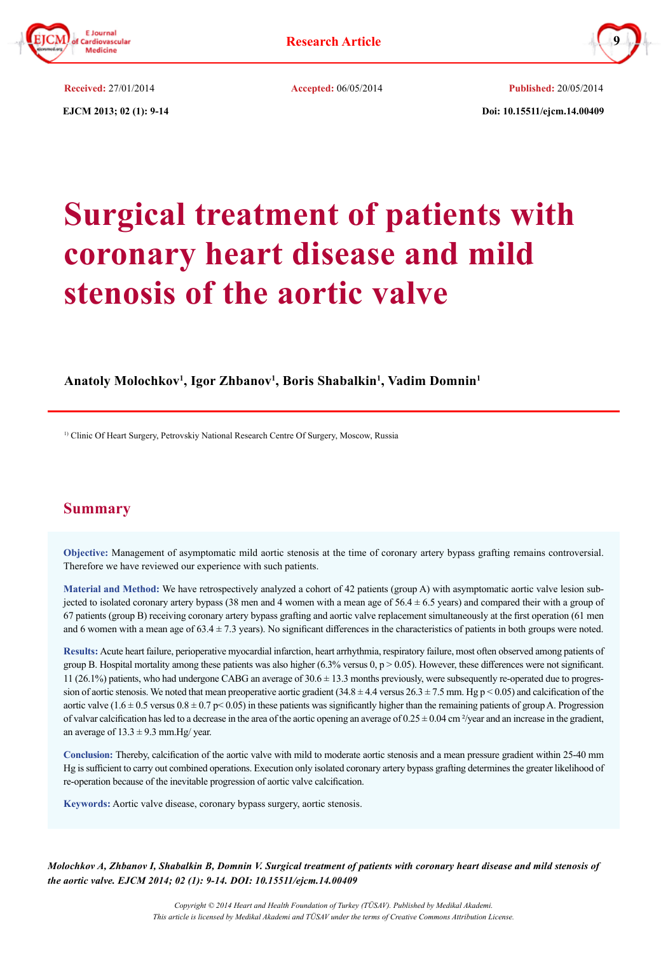



**EJCM 2013; 02 (1): 9-14** Doi: 10.15511/ejcm.14.00409 **Received:** 27/01/2014 **Accepted:** 06/05/2014 **Published:** 20/05/2014

# **Surgical treatment of patients with coronary heart disease and mild stenosis of the aortic valve**

# **Anatoly Molochkov1 , Igor Zhbanov1 , Boris Shabalkin1 , Vadim Domnin1**

1) Clinic Of Heart Surgery, Petrovskiy National Research Centre Of Surgery, Moscow, Russia

# **Summary**

**Objective:** Management of asymptomatic mild aortic stenosis at the time of coronary artery bypass grafting remains controversial. Therefore we have reviewed our experience with such patients.

**Material and Method:** We have retrospectively analyzed a cohort of 42 patients (group A) with asymptomatic aortic valve lesion subjected to isolated coronary artery bypass (38 men and 4 women with a mean age of  $56.4 \pm 6.5$  years) and compared their with a group of 67 patients (group B) receiving coronary artery bypass grafting and aortic valve replacement simultaneously at the first operation (61 men and 6 women with a mean age of  $63.4 \pm 7.3$  years). No significant differences in the characteristics of patients in both groups were noted.

**Results:** Acute heart failure, perioperative myocardial infarction, heart arrhythmia, respiratory failure, most often observed among patients of group B. Hospital mortality among these patients was also higher  $(6.3\%$  versus 0, p  $> 0.05$ ). However, these differences were not significant. 11 (26.1%) patients, who had undergone CABG an average of 30.6 ± 13.3 months previously, were subsequently re-operated due to progression of aortic stenosis. We noted that mean preoperative aortic gradient  $(34.8 \pm 4.4 \text{ versus } 26.3 \pm 7.5 \text{ mm}$ . Hg p < 0.05) and calcification of the aortic valve  $(1.6 \pm 0.5 \text{ versus } 0.8 \pm 0.7 \text{ p} \le 0.05)$  in these patients was significantly higher than the remaining patients of group A. Progression of valvar calcification has led to a decrease in the area of the aortic opening an average of  $0.25 \pm 0.04$  cm  $\frac{2}{\sqrt{2}}$  and an increase in the gradient, an average of  $13.3 \pm 9.3$  mm. Hg/ year.

**Conclusion:** Thereby, calcification of the aortic valve with mild to moderate aortic stenosis and a mean pressure gradient within 25-40 mm Hg is sufficient to carry out combined operations. Execution only isolated coronary artery bypass grafting determines the greater likelihood of re-operation because of the inevitable progression of aortic valve calcification.

**Keywords:** Aortic valve disease, coronary bypass surgery, aortic stenosis.

*Molochkov A, Zhbanov I, Shabalkin B, Domnin V. Surgical treatment of patients with coronary heart disease and mild stenosis of the aortic valve. EJCM 2014; 02 (1): 9-14. DOI: 10.15511/ejcm.14.00409*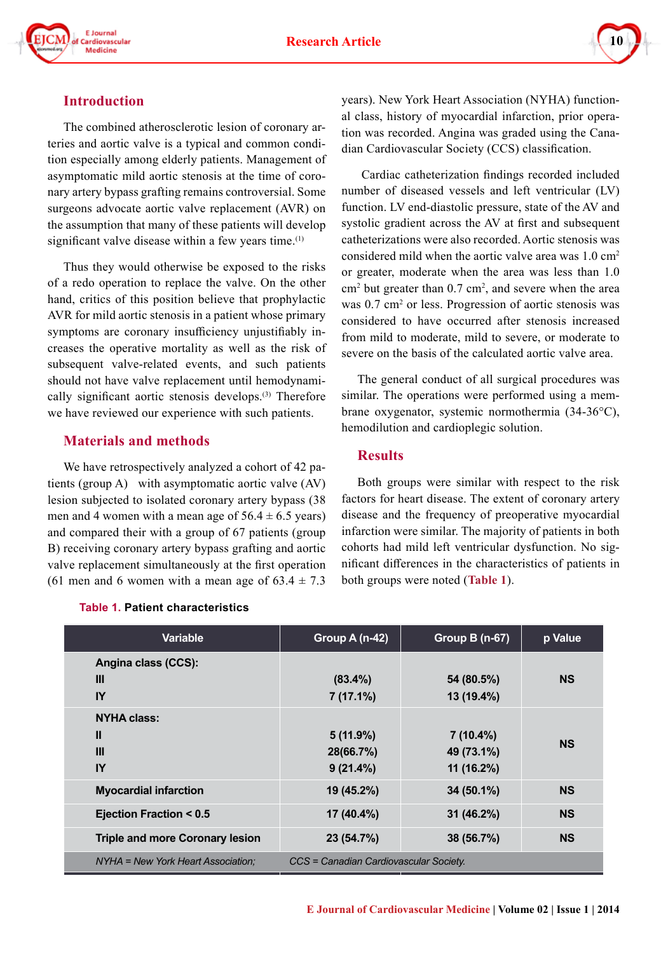

# **Introduction**

The combined atherosclerotic lesion of coronary arteries and aortic valve is a typical and common condition especially among elderly patients. Management of asymptomatic mild aortic stenosis at the time of coronary artery bypass grafting remains controversial. Some surgeons advocate aortic valve replacement (AVR) on the assumption that many of these patients will develop significant valve disease within a few years time. $(1)$ 

Thus they would otherwise be exposed to the risks of a redo operation to replace the valve. On the other hand, critics of this position believe that prophylactic AVR for mild aortic stenosis in a patient whose primary symptoms are coronary insufficiency unjustifiably increases the operative mortality as well as the risk of subsequent valve-related events, and such patients should not have valve replacement until hemodynamically significant aortic stenosis develops.<sup>(3)</sup> Therefore we have reviewed our experience with such patients.

# **Materials and methods**

We have retrospectively analyzed a cohort of 42 patients (group A) with asymptomatic aortic valve (AV) lesion subjected to isolated coronary artery bypass (38 men and 4 women with a mean age of  $56.4 \pm 6.5$  years) and compared their with a group of 67 patients (group B) receiving coronary artery bypass grafting and aortic valve replacement simultaneously at the first operation (61 men and 6 women with a mean age of  $63.4 \pm 7.3$ ) years). New York Heart Association (NYHA) functional class, history of myocardial infarction, prior operation was recorded. Angina was graded using the Canadian Cardiovascular Society (CCS) classification.

 Cardiac catheterization findings recorded included number of diseased vessels and left ventricular (LV) function. LV end-diastolic pressure, state of the AV and systolic gradient across the AV at first and subsequent catheterizations were also recorded. Aortic stenosis was considered mild when the aortic valve area was 1.0 cm2 or greater, moderate when the area was less than 1.0  $\text{cm}^2$  but greater than 0.7 cm<sup>2</sup>, and severe when the area was 0.7 cm<sup>2</sup> or less. Progression of aortic stenosis was considered to have occurred after stenosis increased from mild to moderate, mild to severe, or moderate to severe on the basis of the calculated aortic valve area.

The general conduct of all surgical procedures was similar. The operations were performed using a membrane oxygenator, systemic normothermia (34-36°C), hemodilution and cardioplegic solution.

## **Results**

Both groups were similar with respect to the risk factors for heart disease. The extent of coronary artery disease and the frequency of preoperative myocardial infarction were similar. The majority of patients in both cohorts had mild left ventricular dysfunction. No significant differences in the characteristics of patients in both groups were noted (**Table 1**).

| <b>Variable</b>                        | Group A (n-42)                         | <b>Group B (n-67)</b>    | p Value   |  |
|----------------------------------------|----------------------------------------|--------------------------|-----------|--|
| Angina class (CCS):                    |                                        |                          |           |  |
| Ш<br>IY                                | $(83.4\%)$<br>$7(17.1\%)$              | 54 (80.5%)<br>13 (19.4%) | <b>NS</b> |  |
| <b>NYHA class:</b>                     |                                        |                          |           |  |
| $\mathbf{I}$                           | $5(11.9\%)$                            | $7(10.4\%)$              |           |  |
| $\mathbf{III}$                         | 28(66.7%)                              | 49 (73.1%)               | <b>NS</b> |  |
| IY                                     | $9(21.4\%)$                            | 11 (16.2%)               |           |  |
| <b>Myocardial infarction</b>           | 19 (45.2%)                             | $34(50.1\%)$             | <b>NS</b> |  |
| Ejection Fraction < 0.5                | $17(40.4\%)$                           | $31(46.2\%)$             | <b>NS</b> |  |
| <b>Triple and more Coronary lesion</b> | 23 (54.7%)                             | 38 (56.7%)               | <b>NS</b> |  |
| NYHA = New York Heart Association:     | CCS = Canadian Cardiovascular Society. |                          |           |  |

#### **Table 1. Patient characteristics**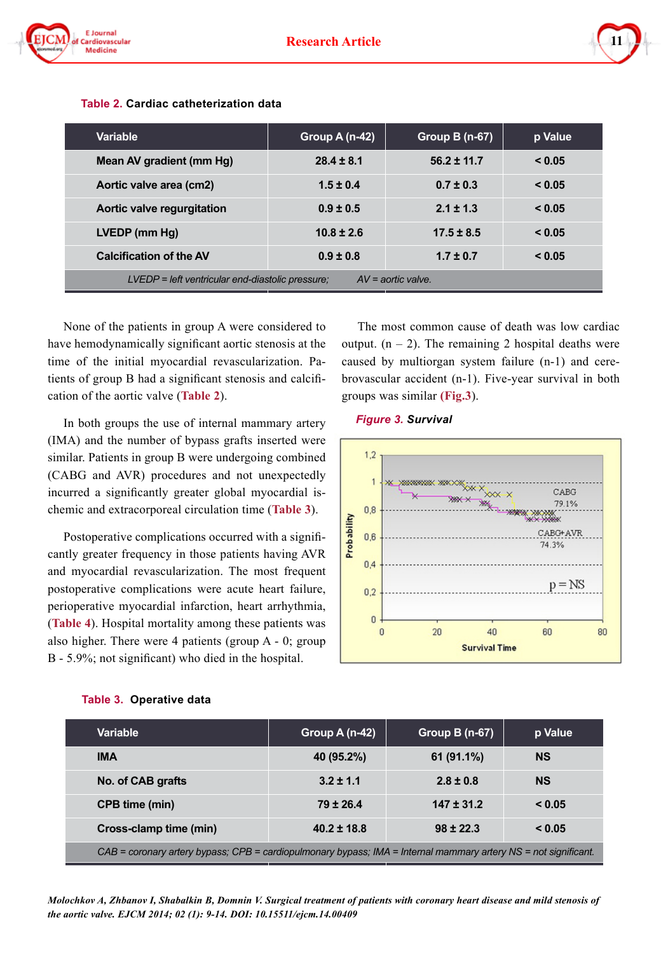

| <b>Variable</b>                                                            | Group A (n-42) | Group B (n-67)  | p Value |  |
|----------------------------------------------------------------------------|----------------|-----------------|---------|--|
| Mean AV gradient (mm Hg)                                                   | $28.4 \pm 8.1$ | $56.2 \pm 11.7$ | < 0.05  |  |
| Aortic valve area (cm2)                                                    | $1.5 \pm 0.4$  | $0.7 \pm 0.3$   | < 0.05  |  |
| Aortic valve regurgitation                                                 | $0.9 \pm 0.5$  | $2.1 \pm 1.3$   | < 0.05  |  |
| LVEDP (mm Hg)                                                              | $10.8 \pm 2.6$ | $17.5 \pm 8.5$  | < 0.05  |  |
| <b>Calcification of the AV</b>                                             | $0.9 \pm 0.8$  | $1.7 \pm 0.7$   | < 0.05  |  |
| $AV =$ aortic valve.<br>$LVEDP = left$ ventricular end-diastolic pressure: |                |                 |         |  |

#### **Table 2. Cardiac catheterization data**

None of the patients in group A were considered to have hemodynamically significant aortic stenosis at the time of the initial myocardial revascularization. Patients of group B had a significant stenosis and calcification of the aortic valve (**Table 2**).

In both groups the use of internal mammary artery (IMA) and the number of bypass grafts inserted were similar. Patients in group B were undergoing combined (CABG and AVR) procedures and not unexpectedly incurred a significantly greater global myocardial ischemic and extracorporeal circulation time (**Table 3**).

Postoperative complications occurred with a significantly greater frequency in those patients having AVR and myocardial revascularization. The most frequent postoperative complications were acute heart failure, perioperative myocardial infarction, heart arrhythmia, (**Table 4**). Hospital mortality among these patients was also higher. There were 4 patients (group A - 0; group B - 5.9%; not significant) who died in the hospital.

The most common cause of death was low cardiac output.  $(n - 2)$ . The remaining 2 hospital deaths were caused by multiorgan system failure (n-1) and cerebrovascular accident (n-1). Five-year survival in both groups was similar **(Fig.3**).

#### *Figure 3. Survival*



| <b>Variable</b>                                                                                                 | Group A $(n-42)$ | <b>Group B (n-67)</b> | p Value   |  |  |  |
|-----------------------------------------------------------------------------------------------------------------|------------------|-----------------------|-----------|--|--|--|
| <b>IMA</b>                                                                                                      | 40 (95.2%)       | $61(91.1\%)$          | <b>NS</b> |  |  |  |
| No. of CAB grafts                                                                                               | $3.2 \pm 1.1$    | $2.8 \pm 0.8$         | <b>NS</b> |  |  |  |
| CPB time (min)<br>$147 \pm 31.2$<br>$79 \pm 26.4$<br>< 0.05                                                     |                  |                       |           |  |  |  |
| Cross-clamp time (min)                                                                                          | $40.2 \pm 18.8$  | $98 \pm 22.3$         | < 0.05    |  |  |  |
| CAB = coronary artery bypass; CPB = cardiopulmonary bypass; IMA = Internal mammary artery NS = not significant. |                  |                       |           |  |  |  |

#### **Table 3. Operative data**

*Molochkov A, Zhbanov I, Shabalkin B, Domnin V. Surgical treatment of patients with coronary heart disease and mild stenosis of the aortic valve. EJCM 2014; 02 (1): 9-14. DOI: 10.15511/ejcm.14.00409*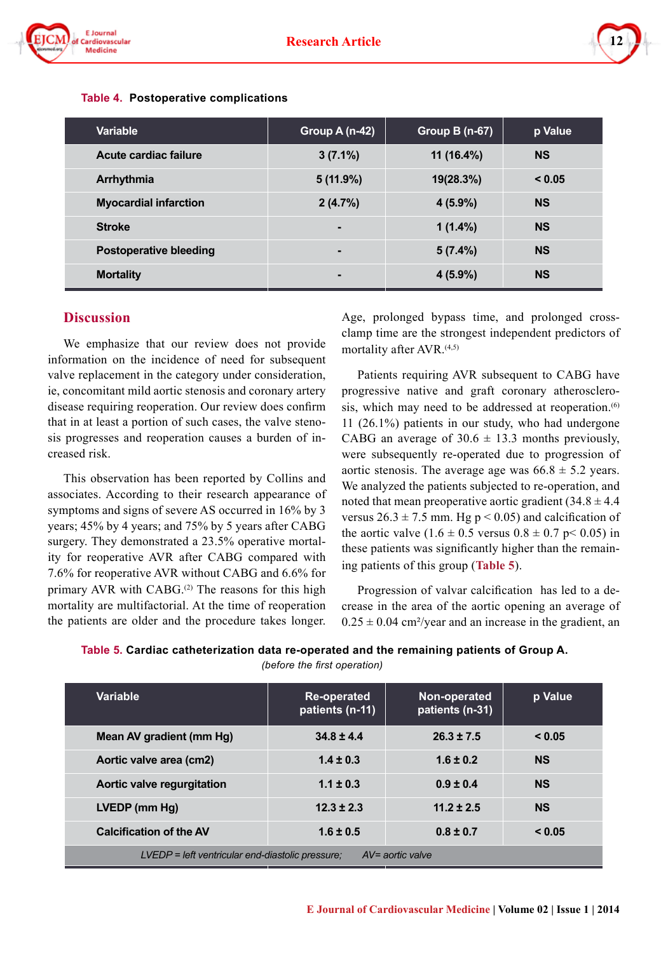



| Variable                      | Group A (n-42) | <b>Group B (n-67)</b> | p Value   |
|-------------------------------|----------------|-----------------------|-----------|
| Acute cardiac failure         | $3(7.1\%)$     | $11(16.4\%)$          | <b>NS</b> |
| Arrhythmia                    | $5(11.9\%)$    | 19(28.3%)             | < 0.05    |
| <b>Myocardial infarction</b>  | 2(4.7%)        | $4(5.9\%)$            | <b>NS</b> |
| <b>Stroke</b>                 | $\blacksquare$ | $1(1.4\%)$            | <b>NS</b> |
| <b>Postoperative bleeding</b> | -              | 5(7.4%)               | <b>NS</b> |
| <b>Mortality</b>              | -              | $4(5.9\%)$            | <b>NS</b> |

#### **Table 4. Postoperative complications**

#### **Discussion**

We emphasize that our review does not provide information on the incidence of need for subsequent valve replacement in the category under consideration, ie, concomitant mild aortic stenosis and coronary artery disease requiring reoperation. Our review does confirm that in at least a portion of such cases, the valve stenosis progresses and reoperation causes a burden of increased risk.

This observation has been reported by Collins and associates. According to their research appearance of symptoms and signs of severe AS occurred in 16% by 3 years; 45% by 4 years; and 75% by 5 years after CABG surgery. They demonstrated a 23.5% operative mortality for reoperative AVR after CABG compared with 7.6% for reoperative AVR without CABG and 6.6% for primary AVR with CABG. $(2)$  The reasons for this high mortality are multifactorial. At the time of reoperation the patients are older and the procedure takes longer.

Age, prolonged bypass time, and prolonged crossclamp time are the strongest independent predictors of mortality after AVR.<sup>(4,5)</sup>

Patients requiring AVR subsequent to CABG have progressive native and graft coronary atherosclerosis, which may need to be addressed at reoperation.<sup>(6)</sup> 11 (26.1%) patients in our study, who had undergone CABG an average of  $30.6 \pm 13.3$  months previously, were subsequently re-operated due to progression of aortic stenosis. The average age was  $66.8 \pm 5.2$  years. We analyzed the patients subjected to re-operation, and noted that mean preoperative aortic gradient  $(34.8 \pm 4.4)$ versus  $26.3 \pm 7.5$  mm. Hg p < 0.05) and calcification of the aortic valve  $(1.6 \pm 0.5 \text{ versus } 0.8 \pm 0.7 \text{ p} < 0.05)$  in these patients was significantly higher than the remaining patients of this group (**Table 5**).

Progression of valvar calcification has led to a decrease in the area of the aortic opening an average of  $0.25 \pm 0.04$  cm<sup>2</sup>/year and an increase in the gradient, an

| Table 5. Cardiac catheterization data re-operated and the remaining patients of Group A. |
|------------------------------------------------------------------------------------------|
| (before the first operation)                                                             |

| <b>Variable</b>                                                          | Non-operated<br><b>Re-operated</b><br>patients (n-11)<br>patients (n-31) |                | p Value   |  |
|--------------------------------------------------------------------------|--------------------------------------------------------------------------|----------------|-----------|--|
| Mean AV gradient (mm Hg)                                                 | $34.8 \pm 4.4$                                                           | $26.3 \pm 7.5$ | < 0.05    |  |
| Aortic valve area (cm2)                                                  | $1.4 \pm 0.3$                                                            | $1.6 \pm 0.2$  | <b>NS</b> |  |
| Aortic valve regurgitation                                               | $1.1 \pm 0.3$                                                            | $0.9 \pm 0.4$  | <b>NS</b> |  |
| LVEDP (mm Hg)                                                            | $12.3 \pm 2.3$                                                           | $11.2 \pm 2.5$ | <b>NS</b> |  |
| <b>Calcification of the AV</b>                                           | $1.6 \pm 0.5$                                                            | $0.8 \pm 0.7$  | < 0.05    |  |
| $AV=$ aortic valve<br>$LVEDP = left$ ventricular end-diastolic pressure: |                                                                          |                |           |  |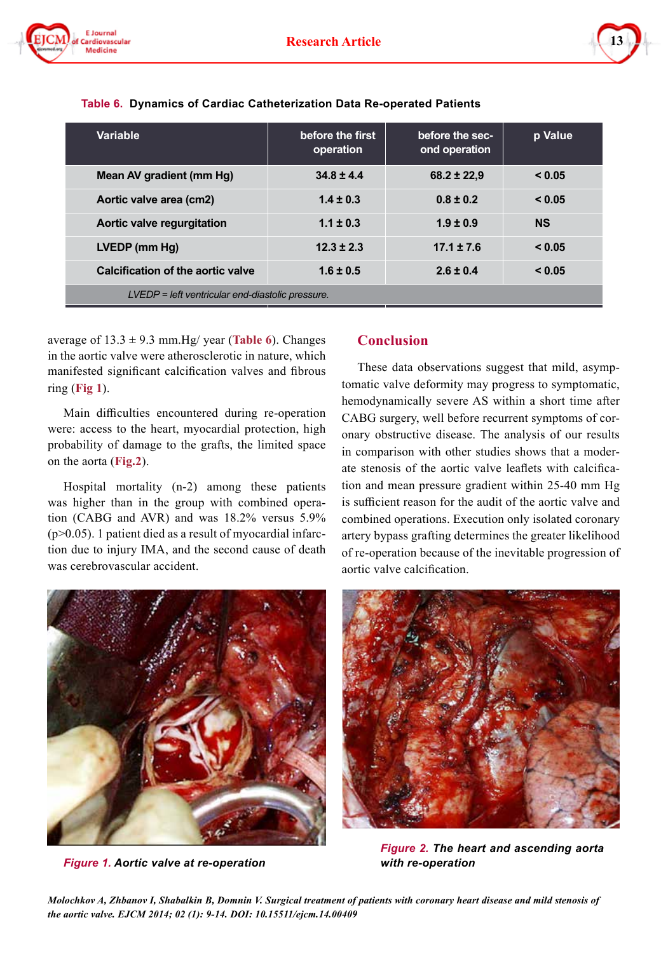



| Variable                                         | before the first<br>operation | before the sec-<br>ond operation | p Value   |  |
|--------------------------------------------------|-------------------------------|----------------------------------|-----------|--|
| Mean AV gradient (mm Hg)                         | $34.8 \pm 4.4$                | $68.2 \pm 22.9$                  | < 0.05    |  |
| Aortic valve area (cm2)                          | $1.4 \pm 0.3$                 | $0.8 \pm 0.2$                    | < 0.05    |  |
| Aortic valve regurgitation                       | $1.1 \pm 0.3$                 | $1.9 \pm 0.9$                    | <b>NS</b> |  |
| LVEDP (mm Hg)                                    | $12.3 \pm 2.3$                | $17.1 \pm 7.6$                   | < 0.05    |  |
| Calcification of the aortic valve                | $1.6 \pm 0.5$                 | $2.6 \pm 0.4$                    |           |  |
| LVEDP = left ventricular end-diastolic pressure. |                               |                                  |           |  |

|  |  |  | Table 6. Dynamics of Cardiac Catheterization Data Re-operated Patients |  |  |  |
|--|--|--|------------------------------------------------------------------------|--|--|--|
|--|--|--|------------------------------------------------------------------------|--|--|--|

average of  $13.3 \pm 9.3$  mm. Hg/ year (**Table 6**). Changes in the aortic valve were atherosclerotic in nature, which manifested significant calcification valves and fibrous ring (**Fig 1**).

Main difficulties encountered during re-operation were: access to the heart, myocardial protection, high probability of damage to the grafts, the limited space on the aorta (**Fig.2**).

Hospital mortality (n-2) among these patients was higher than in the group with combined operation (CABG and AVR) and was 18.2% versus 5.9% (p>0.05). 1 patient died as a result of myocardial infarction due to injury IMA, and the second cause of death was cerebrovascular accident.



*Figure 1. Aortic valve at re-operation with re-operation*

# **Conclusion**

These data observations suggest that mild, asymptomatic valve deformity may progress to symptomatic, hemodynamically severe AS within a short time after CABG surgery, well before recurrent symptoms of coronary obstructive disease. The analysis of our results in comparison with other studies shows that a moderate stenosis of the aortic valve leaflets with calcification and mean pressure gradient within 25-40 mm Hg is sufficient reason for the audit of the aortic valve and combined operations. Execution only isolated coronary artery bypass grafting determines the greater likelihood of re-operation because of the inevitable progression of aortic valve calcification.



*Figure 2. The heart and ascending aorta*